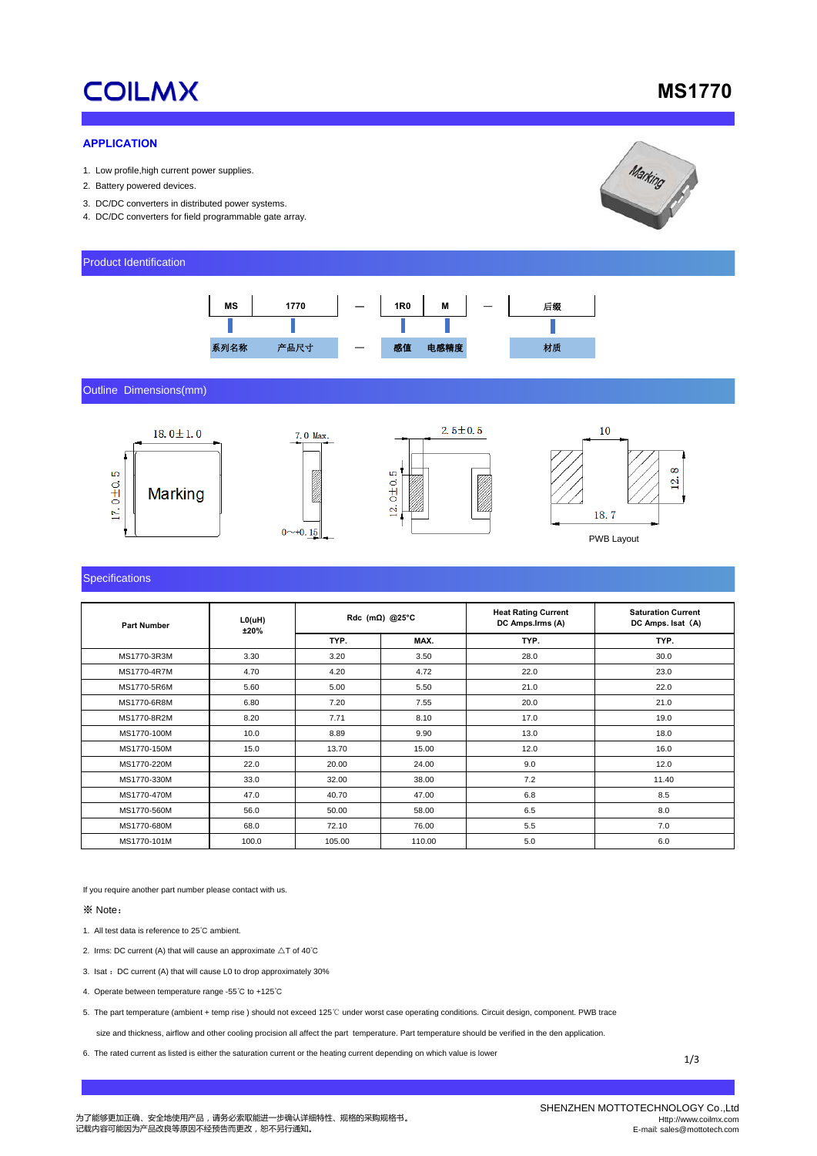# **COILMX**

# **MS1770**

#### **APPLICATION**

- 1. Low profile,high current power supplies.
- 2. Battery powered devices.
- 3. DC/DC converters in distributed power systems.
- 4. DC/DC converters for field programmable gate array.

# Marking

## Product Identification



#### Outline Dimensions(mm)



#### **Specifications**

| <b>Part Number</b> | L0(uH)<br>±20% | Rdc (m $\Omega$ ) @25°C |        | <b>Heat Rating Current</b><br>DC Amps.lrms (A) | <b>Saturation Current</b><br>DC Amps. Isat (A) |
|--------------------|----------------|-------------------------|--------|------------------------------------------------|------------------------------------------------|
|                    |                | TYP.                    | MAX.   | TYP.                                           | TYP.                                           |
| MS1770-3R3M        | 3.30           | 3.20                    | 3.50   | 28.0                                           | 30.0                                           |
| MS1770-4R7M        | 4.70           | 4.20                    | 4.72   | 22.0                                           | 23.0                                           |
| MS1770-5R6M        | 5.60           | 5.00                    | 5.50   | 21.0                                           | 22.0                                           |
| MS1770-6R8M        | 6.80           | 7.20                    | 7.55   | 20.0                                           | 21.0                                           |
| MS1770-8R2M        | 8.20           | 7.71                    | 8.10   | 17.0                                           | 19.0                                           |
| MS1770-100M        | 10.0           | 8.89                    | 9.90   | 13.0                                           | 18.0                                           |
| MS1770-150M        | 15.0           | 13.70                   | 15.00  | 12.0                                           | 16.0                                           |
| MS1770-220M        | 22.0           | 20.00                   | 24.00  | 9.0                                            | 12.0                                           |
| MS1770-330M        | 33.0           | 32.00                   | 38.00  | 7.2                                            | 11.40                                          |
| MS1770-470M        | 47.0           | 40.70                   | 47.00  | 6.8                                            | 8.5                                            |
| MS1770-560M        | 56.0           | 50.00                   | 58.00  | 6.5                                            | 8.0                                            |
| MS1770-680M        | 68.0           | 72.10                   | 76.00  | 5.5                                            | 7.0                                            |
| MS1770-101M        | 100.0          | 105.00                  | 110.00 | 5.0                                            | 6.0                                            |

If you require another part number please contact with us.

#### ※ Note:

- 1. All test data is reference to 25℃ ambient.
- 2. Irms: DC current (A) that will cause an approximate △T of 40℃
- 3. Isat :DC current (A) that will cause L0 to drop approximately 30%
- 4. Operate between temperature range -55℃ to +125℃
- 5. The part temperature (ambient + temp rise ) should not exceed 125℃ under worst case operating conditions. Circuit design, component. PWB trace

size and thickness, airflow and other cooling procision all affect the part temperature. Part temperature should be verified in the den application.

6. The rated current as listed is either the saturation current or the heating current depending on which value is lower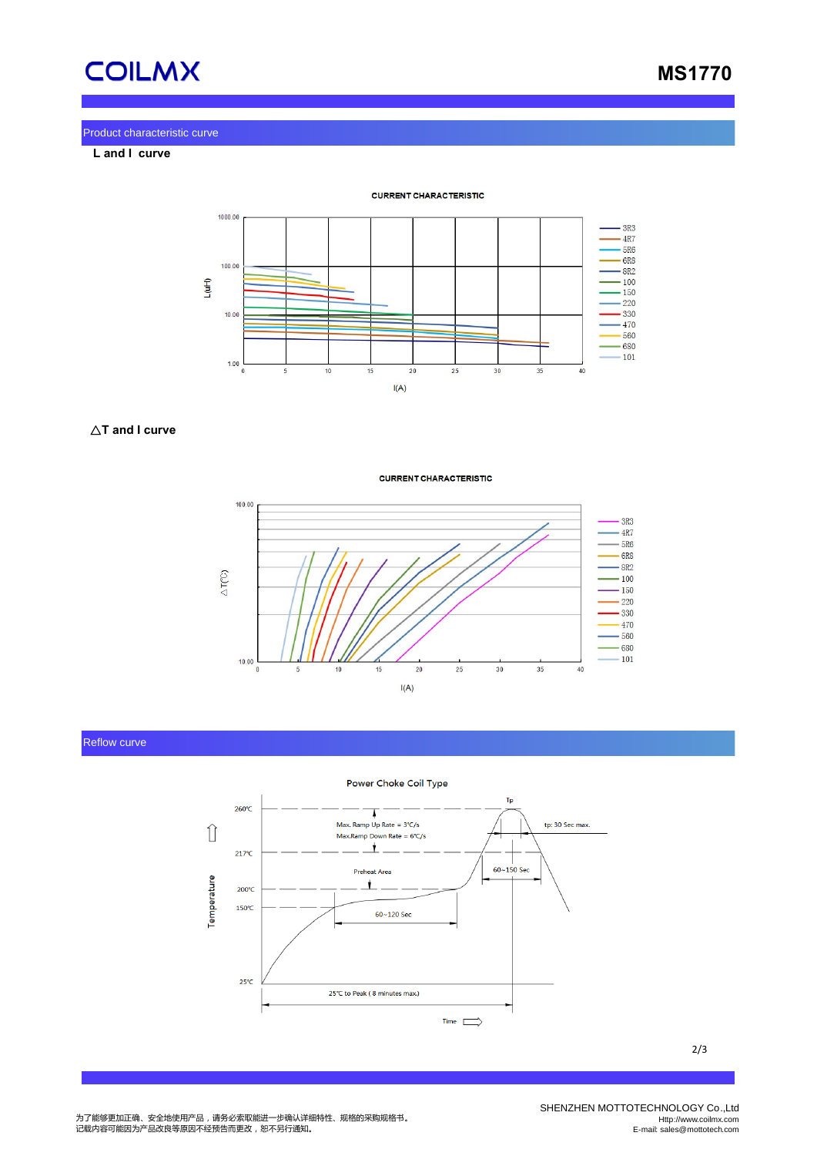

# Product characteristic curve

 **L and I curve**



## △**T and I curve**

 $100.00$ 3R3  $-4R7$ 5R6 **6R8 8R2**  $\triangle T$ (°C)  $.100$  $.150$ 220 330 470 560 680 101 10.00 35  $10$  $15$  $20$ 25 30  $40$  $\epsilon$  $\overline{5}$  $I(A)$ 

#### Reflow curve



2/3

为了能够更加正确、安全地使用产品,请务必索取能进一步确认详细特性、规格的采购规格书。 记载内容可能因为产品改良等原因不经预告而更改,恕不另行通知。

**CURRENT CHARACTERISTIC**